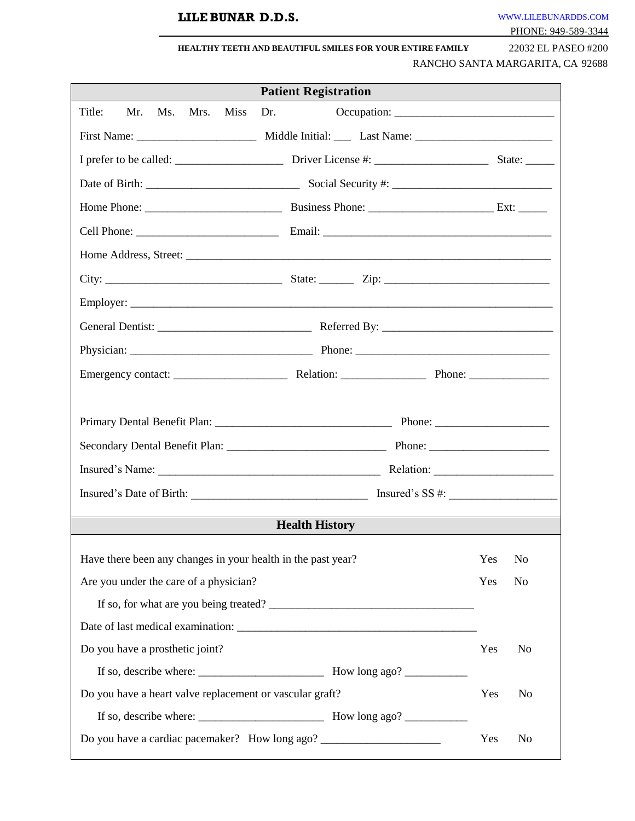# **LILE BUNAR D.D.S.** [WWW](http://www.thefutureofdentistry.com/).[LILEBUNARDDS](http://www.thefutureofdentistry.com/).[COM](http://www.thefutureofdentistry.com/)

|--|

| <b>HEALTHY TEETH AND BEAUTIFUL SMILES FOR YOUR ENTIRE FAMILY</b> | 22032 EL PASEO #200 |
|------------------------------------------------------------------|---------------------|
|------------------------------------------------------------------|---------------------|

RANCHO SANTA MARGARITA, CA 92688

| <b>Patient Registration</b>                                                      |                       |  |  |  |  |  |  |  |  |
|----------------------------------------------------------------------------------|-----------------------|--|--|--|--|--|--|--|--|
| Mrs. Miss<br>Title:<br>Mr.<br>Ms.<br>Dr.                                         |                       |  |  |  |  |  |  |  |  |
|                                                                                  |                       |  |  |  |  |  |  |  |  |
|                                                                                  | State: $\_\_$         |  |  |  |  |  |  |  |  |
|                                                                                  |                       |  |  |  |  |  |  |  |  |
|                                                                                  |                       |  |  |  |  |  |  |  |  |
|                                                                                  |                       |  |  |  |  |  |  |  |  |
|                                                                                  |                       |  |  |  |  |  |  |  |  |
|                                                                                  |                       |  |  |  |  |  |  |  |  |
|                                                                                  |                       |  |  |  |  |  |  |  |  |
|                                                                                  |                       |  |  |  |  |  |  |  |  |
|                                                                                  |                       |  |  |  |  |  |  |  |  |
|                                                                                  |                       |  |  |  |  |  |  |  |  |
|                                                                                  |                       |  |  |  |  |  |  |  |  |
|                                                                                  |                       |  |  |  |  |  |  |  |  |
|                                                                                  |                       |  |  |  |  |  |  |  |  |
|                                                                                  |                       |  |  |  |  |  |  |  |  |
|                                                                                  |                       |  |  |  |  |  |  |  |  |
| <b>Health History</b>                                                            |                       |  |  |  |  |  |  |  |  |
|                                                                                  |                       |  |  |  |  |  |  |  |  |
| Have there been any changes in your health in the past year?                     | Yes<br>N <sub>o</sub> |  |  |  |  |  |  |  |  |
| Are you under the care of a physician?                                           | Yes<br>N <sub>o</sub> |  |  |  |  |  |  |  |  |
| If so, for what are you being treated?                                           |                       |  |  |  |  |  |  |  |  |
|                                                                                  |                       |  |  |  |  |  |  |  |  |
| Do you have a prosthetic joint?                                                  | Yes<br>N <sub>o</sub> |  |  |  |  |  |  |  |  |
|                                                                                  |                       |  |  |  |  |  |  |  |  |
| Do you have a heart valve replacement or vascular graft?<br>Yes                  |                       |  |  |  |  |  |  |  |  |
|                                                                                  |                       |  |  |  |  |  |  |  |  |
| Do you have a cardiac pacemaker? How long ago? _________________________________ | Yes<br>N <sub>o</sub> |  |  |  |  |  |  |  |  |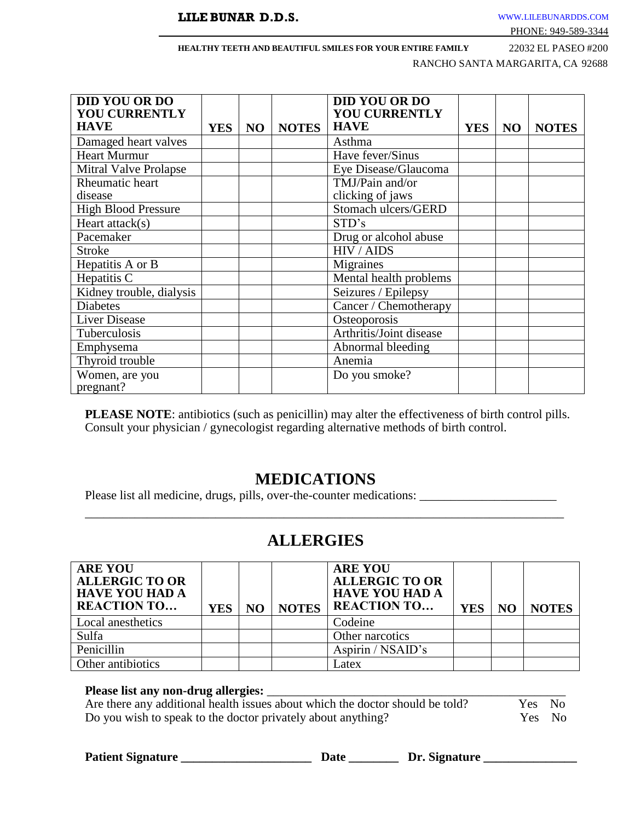#### **HEALTHY TEETH AND BEAUTIFUL SMILES FOR YOUR ENTIRE FAMILY** 22032 EL PASEO #200

RANCHO SANTA MARGARITA, CA 92688

| <b>DID YOU OR DO</b><br><b>YOU CURRENTLY</b><br><b>HAVE</b> | <b>YES</b> | NO | <b>NOTES</b> | <b>DID YOU OR DO</b><br><b>YOU CURRENTLY</b><br><b>HAVE</b> | <b>YES</b> | N <sub>O</sub> | <b>NOTES</b> |
|-------------------------------------------------------------|------------|----|--------------|-------------------------------------------------------------|------------|----------------|--------------|
| Damaged heart valves                                        |            |    |              | Asthma                                                      |            |                |              |
| <b>Heart Murmur</b>                                         |            |    |              | Have fever/Sinus                                            |            |                |              |
| Mitral Valve Prolapse                                       |            |    |              | Eye Disease/Glaucoma                                        |            |                |              |
| Rheumatic heart                                             |            |    |              | TMJ/Pain and/or                                             |            |                |              |
| disease                                                     |            |    |              | clicking of jaws                                            |            |                |              |
| <b>High Blood Pressure</b>                                  |            |    |              | Stomach ulcers/GERD                                         |            |                |              |
| Heart $attack(s)$                                           |            |    |              | STD's                                                       |            |                |              |
| Pacemaker                                                   |            |    |              | Drug or alcohol abuse                                       |            |                |              |
| <b>Stroke</b>                                               |            |    |              | HIV / AIDS                                                  |            |                |              |
| Hepatitis A or B                                            |            |    |              | Migraines                                                   |            |                |              |
| Hepatitis C                                                 |            |    |              | Mental health problems                                      |            |                |              |
| Kidney trouble, dialysis                                    |            |    |              | Seizures / Epilepsy                                         |            |                |              |
| <b>Diabetes</b>                                             |            |    |              | Cancer / Chemotherapy                                       |            |                |              |
| <b>Liver Disease</b>                                        |            |    |              | Osteoporosis                                                |            |                |              |
| Tuberculosis                                                |            |    |              | Arthritis/Joint disease                                     |            |                |              |
| Emphysema                                                   |            |    |              | Abnormal bleeding                                           |            |                |              |
| Thyroid trouble                                             |            |    |              | Anemia                                                      |            |                |              |
| Women, are you<br>pregnant?                                 |            |    |              | Do you smoke?                                               |            |                |              |

**PLEASE NOTE**: antibiotics (such as penicillin) may alter the effectiveness of birth control pills. Consult your physician / gynecologist regarding alternative methods of birth control.

# **MEDICATIONS**

Please list all medicine, drugs, pills, over-the-counter medications: \_\_\_\_\_\_\_\_\_\_\_\_\_\_\_\_\_\_\_\_\_\_

# **ALLERGIES**

\_\_\_\_\_\_\_\_\_\_\_\_\_\_\_\_\_\_\_\_\_\_\_\_\_\_\_\_\_\_\_\_\_\_\_\_\_\_\_\_\_\_\_\_\_\_\_\_\_\_\_\_\_\_\_\_\_\_\_\_\_\_\_\_\_\_\_\_\_\_\_\_\_\_\_\_\_

| <b>ARE YOU</b><br><b>ALLERGIC TO OR</b><br><b>HAVE YOU HAD A</b><br><b>REACTION TO</b> | <b>YES</b> | NO | <b>NOTES</b> | <b>ARE YOU</b><br><b>ALLERGIC TO OR</b><br><b>HAVE YOU HAD A</b><br><b>REACTION TO</b> | <b>YES</b> | N <sub>O</sub> | <b>NOTES</b> |
|----------------------------------------------------------------------------------------|------------|----|--------------|----------------------------------------------------------------------------------------|------------|----------------|--------------|
| Local anesthetics                                                                      |            |    |              | Codeine                                                                                |            |                |              |
| Sulfa                                                                                  |            |    |              | Other narcotics                                                                        |            |                |              |
| Penicillin                                                                             |            |    |              | Aspirin / NSAID's                                                                      |            |                |              |
| Other antibiotics                                                                      |            |    |              | Latex                                                                                  |            |                |              |

**Please list any non-drug allergies:** \_\_\_\_\_\_\_\_\_\_\_\_\_\_\_\_\_\_\_\_\_\_\_\_\_\_\_\_\_\_\_\_\_\_\_\_\_\_\_\_\_\_\_\_\_\_\_\_ Are there any additional health issues about which the doctor should be told? Do you wish to speak to the doctor privately about anything? Yes No

**Patient Signature \_\_\_\_\_\_\_\_\_\_\_\_\_\_\_\_\_\_\_\_\_ Date \_\_\_\_\_\_\_\_ Dr. Signature \_\_\_\_\_\_\_\_\_\_\_\_\_\_\_**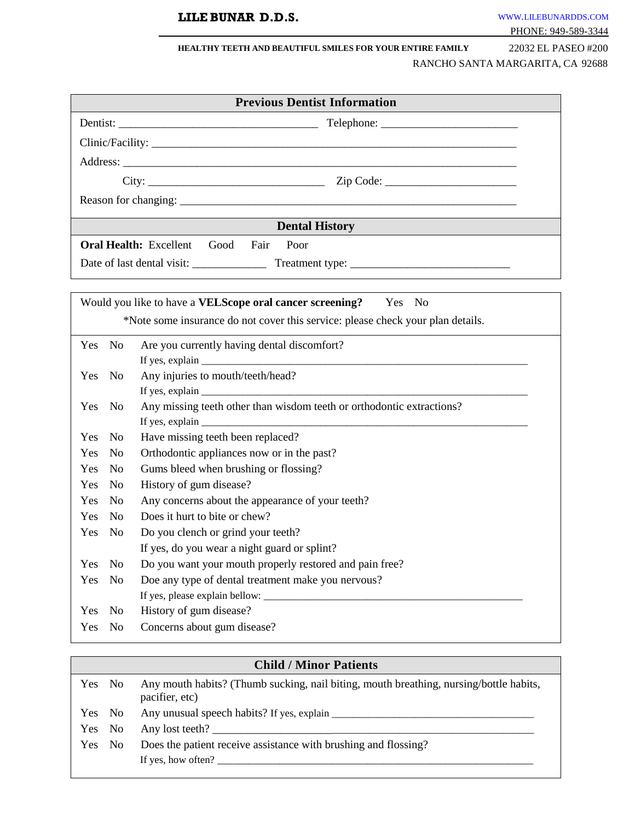# **LILE BUNAR D.D.S.** [WWW](http://www.thefutureofdentistry.com/).[LILEBUNARDDS](http://www.thefutureofdentistry.com/).[COM](http://www.thefutureofdentistry.com/)

#### **HEALTHY TEETH AND BEAUTIFUL SMILES FOR YOUR ENTIRE FAMILY** 22032 EL PASEO #200

# RANCHO SANTA MARGARITA, CA 92688

|                       | <b>Previous Dentist Information</b>                                                                                                                                                                                                                                                                                                                                                                                                       |  |  |  |  |  |  |  |  |  |
|-----------------------|-------------------------------------------------------------------------------------------------------------------------------------------------------------------------------------------------------------------------------------------------------------------------------------------------------------------------------------------------------------------------------------------------------------------------------------------|--|--|--|--|--|--|--|--|--|
|                       |                                                                                                                                                                                                                                                                                                                                                                                                                                           |  |  |  |  |  |  |  |  |  |
|                       |                                                                                                                                                                                                                                                                                                                                                                                                                                           |  |  |  |  |  |  |  |  |  |
|                       |                                                                                                                                                                                                                                                                                                                                                                                                                                           |  |  |  |  |  |  |  |  |  |
|                       |                                                                                                                                                                                                                                                                                                                                                                                                                                           |  |  |  |  |  |  |  |  |  |
|                       |                                                                                                                                                                                                                                                                                                                                                                                                                                           |  |  |  |  |  |  |  |  |  |
|                       |                                                                                                                                                                                                                                                                                                                                                                                                                                           |  |  |  |  |  |  |  |  |  |
|                       | <b>Dental History</b><br><u> 1989 - Johann Stein, mars an de France</u>                                                                                                                                                                                                                                                                                                                                                                   |  |  |  |  |  |  |  |  |  |
|                       | <b>Oral Health:</b> Excellent Good Fair<br>Poor                                                                                                                                                                                                                                                                                                                                                                                           |  |  |  |  |  |  |  |  |  |
|                       |                                                                                                                                                                                                                                                                                                                                                                                                                                           |  |  |  |  |  |  |  |  |  |
|                       |                                                                                                                                                                                                                                                                                                                                                                                                                                           |  |  |  |  |  |  |  |  |  |
|                       | Would you like to have a <b>VELScope oral cancer screening?</b> Yes No                                                                                                                                                                                                                                                                                                                                                                    |  |  |  |  |  |  |  |  |  |
|                       | *Note some insurance do not cover this service: please check your plan details.                                                                                                                                                                                                                                                                                                                                                           |  |  |  |  |  |  |  |  |  |
|                       |                                                                                                                                                                                                                                                                                                                                                                                                                                           |  |  |  |  |  |  |  |  |  |
| Yes No                | Are you currently having dental discomfort?                                                                                                                                                                                                                                                                                                                                                                                               |  |  |  |  |  |  |  |  |  |
| No<br>Yes             | If yes, explain $\frac{1}{\sqrt{1-\frac{1}{2}}\sqrt{1-\frac{1}{2}}\sqrt{1-\frac{1}{2}}\sqrt{1-\frac{1}{2}}\sqrt{1-\frac{1}{2}}\sqrt{1-\frac{1}{2}}\sqrt{1-\frac{1}{2}}\sqrt{1-\frac{1}{2}}\sqrt{1-\frac{1}{2}}\sqrt{1-\frac{1}{2}}\sqrt{1-\frac{1}{2}}\sqrt{1-\frac{1}{2}}\sqrt{1-\frac{1}{2}}\sqrt{1-\frac{1}{2}}\sqrt{1-\frac{1}{2}}\sqrt{1-\frac{1}{2}}\sqrt{1-\frac{1}{2}}\sqrt{1-\frac{1}{2}}\$<br>Any injuries to mouth/teeth/head? |  |  |  |  |  |  |  |  |  |
|                       |                                                                                                                                                                                                                                                                                                                                                                                                                                           |  |  |  |  |  |  |  |  |  |
| Yes No                | Any missing teeth other than wisdom teeth or orthodontic extractions?                                                                                                                                                                                                                                                                                                                                                                     |  |  |  |  |  |  |  |  |  |
|                       |                                                                                                                                                                                                                                                                                                                                                                                                                                           |  |  |  |  |  |  |  |  |  |
| Yes<br>No             | Have missing teeth been replaced?                                                                                                                                                                                                                                                                                                                                                                                                         |  |  |  |  |  |  |  |  |  |
| Yes<br>N <sub>0</sub> | Orthodontic appliances now or in the past?                                                                                                                                                                                                                                                                                                                                                                                                |  |  |  |  |  |  |  |  |  |
| Yes<br>N <sub>0</sub> | Gums bleed when brushing or flossing?                                                                                                                                                                                                                                                                                                                                                                                                     |  |  |  |  |  |  |  |  |  |
| Yes<br>N <sub>o</sub> | History of gum disease?                                                                                                                                                                                                                                                                                                                                                                                                                   |  |  |  |  |  |  |  |  |  |
| Yes<br>N <sub>0</sub> | Any concerns about the appearance of your teeth?                                                                                                                                                                                                                                                                                                                                                                                          |  |  |  |  |  |  |  |  |  |
| Yes<br>N <sub>0</sub> | Does it hurt to bite or chew?                                                                                                                                                                                                                                                                                                                                                                                                             |  |  |  |  |  |  |  |  |  |
| Yes<br>N <sub>0</sub> | Do you clench or grind your teeth?                                                                                                                                                                                                                                                                                                                                                                                                        |  |  |  |  |  |  |  |  |  |
|                       | If yes, do you wear a night guard or splint?                                                                                                                                                                                                                                                                                                                                                                                              |  |  |  |  |  |  |  |  |  |
| N <sub>o</sub><br>Yes | Do you want your mouth properly restored and pain free?                                                                                                                                                                                                                                                                                                                                                                                   |  |  |  |  |  |  |  |  |  |
| No<br>Yes             | Doe any type of dental treatment make you nervous?                                                                                                                                                                                                                                                                                                                                                                                        |  |  |  |  |  |  |  |  |  |
|                       | If yes, please explain bellow: _                                                                                                                                                                                                                                                                                                                                                                                                          |  |  |  |  |  |  |  |  |  |
| N <sub>0</sub><br>Yes | History of gum disease?                                                                                                                                                                                                                                                                                                                                                                                                                   |  |  |  |  |  |  |  |  |  |
| Yes<br>No             | Concerns about gum disease?                                                                                                                                                                                                                                                                                                                                                                                                               |  |  |  |  |  |  |  |  |  |
|                       |                                                                                                                                                                                                                                                                                                                                                                                                                                           |  |  |  |  |  |  |  |  |  |
|                       | <b>Child / Minor Patients</b>                                                                                                                                                                                                                                                                                                                                                                                                             |  |  |  |  |  |  |  |  |  |

| Yes No |        | Any mouth habits? (Thumb sucking, nail biting, mouth breathing, nursing/bottle habits,<br>pacifier, etc) |
|--------|--------|----------------------------------------------------------------------------------------------------------|
|        | Yes No |                                                                                                          |
| Yes No |        |                                                                                                          |
| Yes No |        | Does the patient receive assistance with brushing and flossing?                                          |
|        |        |                                                                                                          |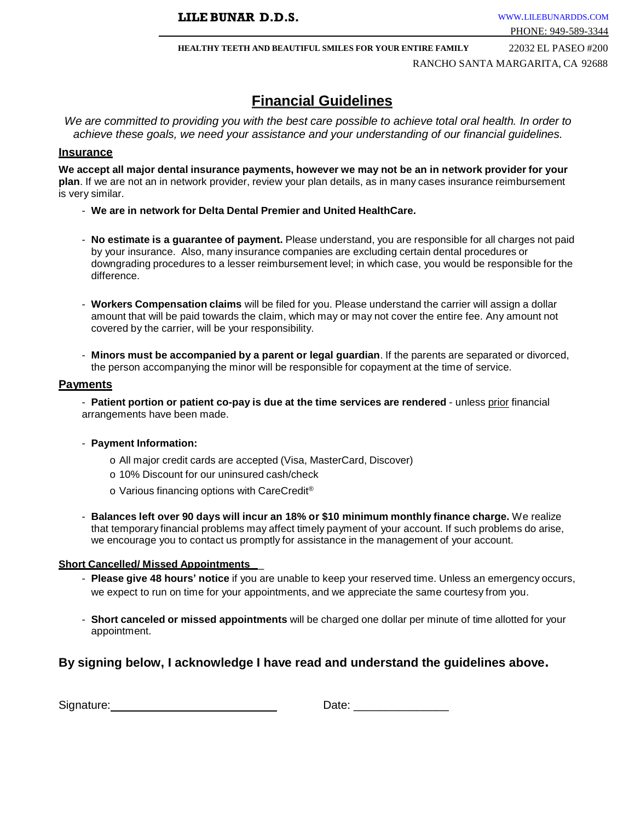**HEALTHY TEETH AND BEAUTIFUL SMILES FOR YOUR ENTIRE FAMILY** 22032 EL PASEO #200 RANCHO SANTA MARGARITA, CA 92688

# **Financial Guidelines**

*We are committed to providing you with the best care possible to achieve total oral health. In order to achieve these goals, we need your assistance and your understanding of our financial guidelines.*

#### **Insurance**

**We accept all major dental insurance payments, however we may not be an in network provider for your plan**. If we are not an in network provider, review your plan details, as in many cases insurance reimbursement is very similar.

- **We are in network for Delta Dental Premier and United HealthCare.**
- **No estimate is a guarantee of payment.** Please understand, you are responsible for all charges not paid by your insurance. Also, many insurance companies are excluding certain dental procedures or downgrading procedures to a lesser reimbursement level; in which case, you would be responsible for the difference.
- **Workers Compensation claims** will be filed for you. Please understand the carrier will assign a dollar amount that will be paid towards the claim, which may or may not cover the entire fee. Any amount not covered by the carrier, will be your responsibility.
- **Minors must be accompanied by a parent or legal guardian**. If the parents are separated or divorced, the person accompanying the minor will be responsible for copayment at the time of service.

#### **Payments**

- **Patient portion or patient co-pay is due at the time services are rendered** - unless prior financial arrangements have been made.

- **Payment Information:**
	- o All major credit cards are accepted (Visa, MasterCard, Discover)
	- o 10% Discount for our uninsured cash/check
	- o Various financing options with CareCredit ®
- **Balances left over 90 days will incur an 18% or \$10 minimum monthly finance charge.** We realize that temporary financial problems may affect timely payment of your account. If such problems do arise, we encourage you to contact us promptly for assistance in the management of your account.

#### **Short Cancelled/ Missed Appointments** \_

- **Please give 48 hours' notice** if you are unable to keep your reserved time. Unless an emergency occurs, we expect to run on time for your appointments, and we appreciate the same courtesy from you.
- **Short canceled or missed appointments** will be charged one dollar per minute of time allotted for your appointment.

## **By signing below, I acknowledge I have read and understand the guidelines above.**

| Signature: | ⊃ate |
|------------|------|
|------------|------|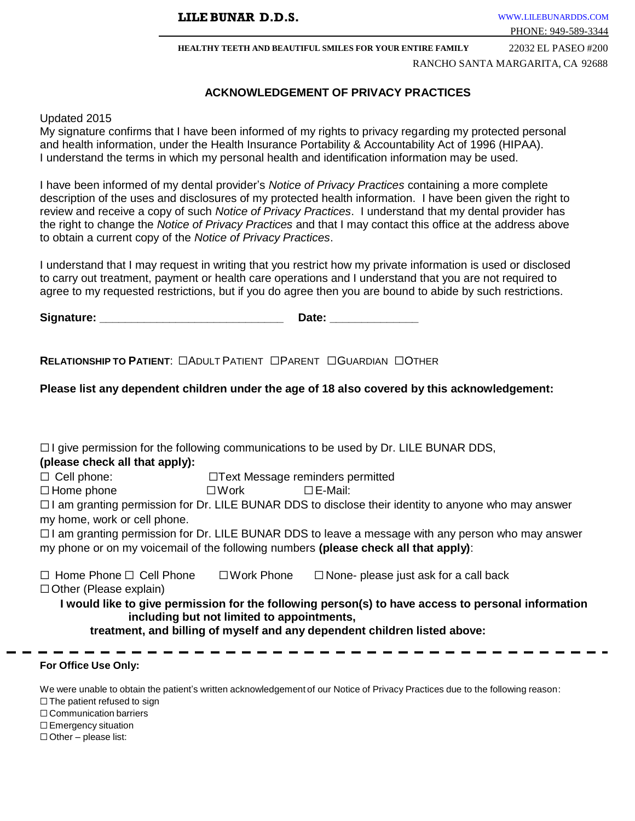**HEALTHY TEETH AND BEAUTIFUL SMILES FOR YOUR ENTIRE FAMILY** 22032 EL PASEO #200 RANCHO SANTA MARGARITA, CA 92688

## **ACKNOWLEDGEMENT OF PRIVACY PRACTICES**

#### Updated 2015

My signature confirms that I have been informed of my rights to privacy regarding my protected personal and health information, under the Health Insurance Portability & Accountability Act of 1996 (HIPAA). I understand the terms in which my personal health and identification information may be used.

I have been informed of my dental provider's *Notice of Privacy Practices* containing a more complete description of the uses and disclosures of my protected health information. I have been given the right to review and receive a copy of such *Notice of Privacy Practices*. I understand that my dental provider has the right to change the *Notice of Privacy Practices* and that I may contact this office at the address above to obtain a current copy of the *Notice of Privacy Practices*.

I understand that I may request in writing that you restrict how my private information is used or disclosed to carry out treatment, payment or health care operations and I understand that you are not required to agree to my requested restrictions, but if you do agree then you are bound to abide by such restrictions.

Signature: **Example 2 and 2 and 2 and 2 and 2 and 2 and 2 and 2 and 2 and 2 and 2 and 2 and 2 and 2 and 2 and 2 and 2 and 2 and 2 and 2 and 2 and 2 and 2 and 2 and 2 and 2 and 2 and 2 and 2 and 2 and 2 and 2 and 2 and 2 an** 

**RELATIONSHIP TO PATIENT**: ☐ADULT PATIENT ☐PARENT ☐GUARDIAN ☐OTHER

**Please list any dependent children under the age of 18 also covered by this acknowledgement:**

 $\Box$  I give permission for the following communications to be used by Dr. LILE BUNAR DDS, **(please check all that apply):** ☐ Cell phone: ☐Text Message reminders permitted ☐ Home phone ☐Work ☐E-Mail:  $\Box$  I am granting permission for Dr. LILE BUNAR DDS to disclose their identity to anyone who may answer my home, work or cell phone. ☐ I am granting permission for Dr. LILE BUNAR DDS to leave a message with any person who may answer my phone or on my voicemail of the following numbers **(please check all that apply)**: ☐ Home Phone ☐ Cell Phone ☐Work Phone ☐ None- please just ask for a call back ☐Other (Please explain) **I would like to give permission for the following person(s) to have access to personal information including but not limited to appointments, treatment, and billing of myself and any dependent children listed above:**

#### **For Office Use Only:**

We were unable to obtain the patient's written acknowledgement of our Notice of Privacy Practices due to the following reason:

□ The patient refused to sign

□ Communication barriers

□ Emergency situation

 $\Box$  Other – please list: